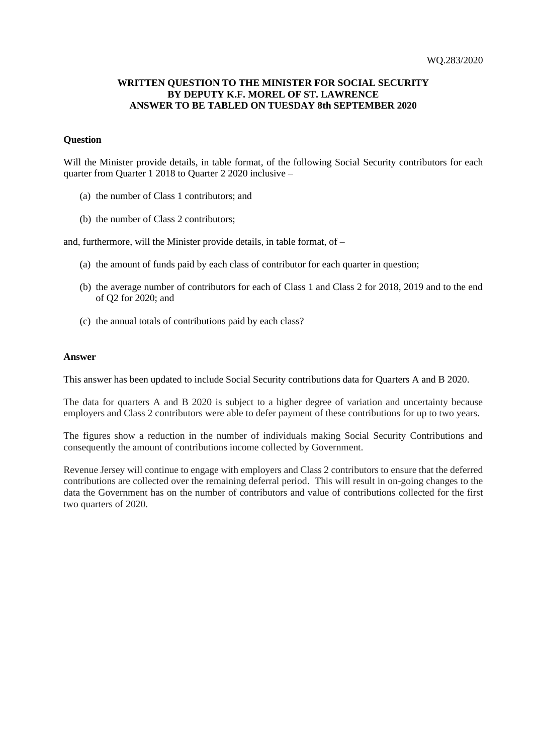## **WRITTEN QUESTION TO THE MINISTER FOR SOCIAL SECURITY BY DEPUTY K.F. MOREL OF ST. LAWRENCE ANSWER TO BE TABLED ON TUESDAY 8th SEPTEMBER 2020**

## **Question**

Will the Minister provide details, in table format, of the following Social Security contributors for each quarter from Quarter 1 2018 to Quarter 2 2020 inclusive –

- (a) the number of Class 1 contributors; and
- (b) the number of Class 2 contributors;

and, furthermore, will the Minister provide details, in table format, of –

- (a) the amount of funds paid by each class of contributor for each quarter in question;
- (b) the average number of contributors for each of Class 1 and Class 2 for 2018, 2019 and to the end of Q2 for 2020; and
- (c) the annual totals of contributions paid by each class?

## **Answer**

This answer has been updated to include Social Security contributions data for Quarters A and B 2020.

The data for quarters A and B 2020 is subject to a higher degree of variation and uncertainty because employers and Class 2 contributors were able to defer payment of these contributions for up to two years.

The figures show a reduction in the number of individuals making Social Security Contributions and consequently the amount of contributions income collected by Government.

Revenue Jersey will continue to engage with employers and Class 2 contributors to ensure that the deferred contributions are collected over the remaining deferral period. This will result in on-going changes to the data the Government has on the number of contributors and value of contributions collected for the first two quarters of 2020.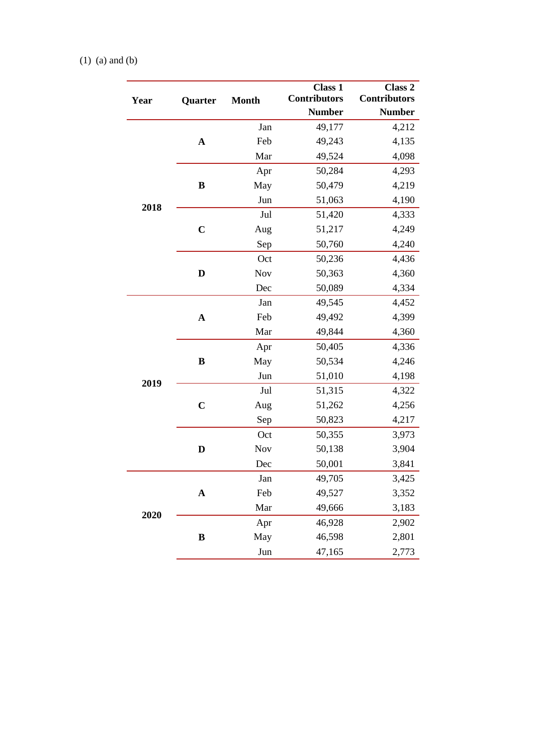## (1) (a) and (b)

| Year | Quarter     | <b>Month</b> | <b>Class 1</b><br><b>Contributors</b><br><b>Number</b> | Class 2<br><b>Contributors</b><br><b>Number</b> |
|------|-------------|--------------|--------------------------------------------------------|-------------------------------------------------|
|      |             | Jan          | 49,177                                                 | 4,212                                           |
|      | $\mathbf A$ | Feb          | 49,243                                                 | 4,135                                           |
|      |             | Mar          | 49,524                                                 | 4,098                                           |
|      |             | Apr          | 50,284                                                 | 4,293                                           |
|      | B           | May          | 50,479                                                 | 4,219                                           |
|      |             | Jun          | 51,063                                                 | 4,190                                           |
| 2018 |             | Jul          | 51,420                                                 | 4,333                                           |
|      | $\mathbf C$ | Aug          | 51,217                                                 | 4,249                                           |
|      |             | Sep          | 50,760                                                 | 4,240                                           |
|      |             | Oct          | 50,236                                                 | 4,436                                           |
|      | D           | <b>Nov</b>   | 50,363                                                 | 4,360                                           |
|      |             | Dec          | 50,089                                                 | 4,334                                           |
|      |             | Jan          | 49,545                                                 | 4,452                                           |
|      | $\mathbf A$ | Feb          | 49,492                                                 | 4,399                                           |
|      |             | Mar          | 49,844                                                 | 4,360                                           |
|      |             | Apr          | 50,405                                                 | 4,336                                           |
|      | B           | May          | 50,534                                                 | 4,246                                           |
|      |             | Jun          | 51,010                                                 | 4,198                                           |
| 2019 |             | Jul          | 51,315                                                 | 4,322                                           |
|      | $\mathbf C$ | Aug          | 51,262                                                 | 4,256                                           |
|      |             | Sep          | 50,823                                                 | 4,217                                           |
|      |             | Oct          | 50,355                                                 | 3,973                                           |
|      | D           | <b>Nov</b>   | 50,138                                                 | 3,904                                           |
|      |             | Dec          | 50,001                                                 | 3,841                                           |
|      |             | Jan          | 49,705                                                 | 3,425                                           |
| 2020 | $\mathbf A$ | Feb          | 49,527                                                 | 3,352                                           |
|      |             | Mar          | 49,666                                                 | 3,183                                           |
|      |             | Apr          | 46,928                                                 | 2,902                                           |
|      | B           | May          | 46,598                                                 | 2,801                                           |
|      |             | Jun          | 47,165                                                 | 2,773                                           |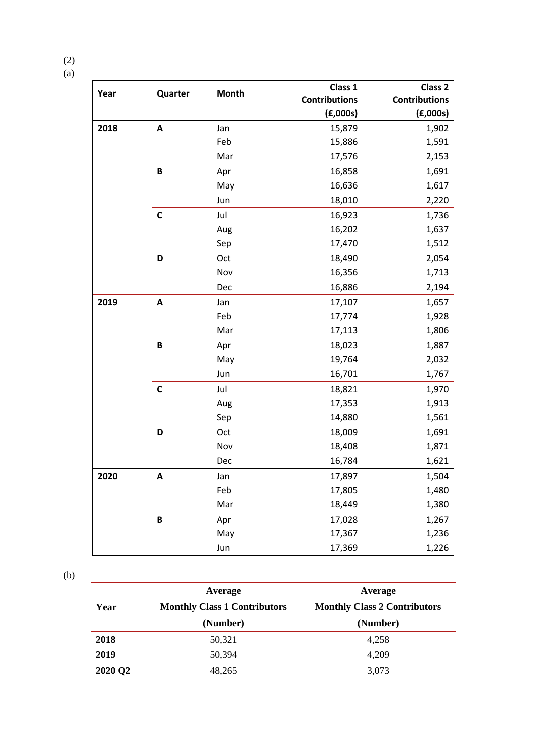| Я<br>I |  |
|--------|--|

| Year | Quarter                   | <b>Month</b> | Class 1              | Class <sub>2</sub>   |
|------|---------------------------|--------------|----------------------|----------------------|
|      |                           |              | <b>Contributions</b> | <b>Contributions</b> |
|      |                           |              | (E,000s)             | (E,000s)             |
| 2018 | $\boldsymbol{\mathsf{A}}$ | Jan          | 15,879               | 1,902                |
|      |                           | Feb          | 15,886               | 1,591                |
|      |                           | Mar          | 17,576               | 2,153                |
|      | $\, {\bf B}$              | Apr          | 16,858               | 1,691                |
|      |                           | May          | 16,636               | 1,617                |
|      |                           | Jun          | 18,010               | 2,220                |
|      | $\mathbf c$               | Jul          | 16,923               | 1,736                |
|      |                           | Aug          | 16,202               | 1,637                |
|      |                           | Sep          | 17,470               | 1,512                |
|      | D                         | Oct          | 18,490               | 2,054                |
|      |                           | Nov          | 16,356               | 1,713                |
|      |                           | Dec          | 16,886               | 2,194                |
| 2019 | $\boldsymbol{\mathsf{A}}$ | Jan          | 17,107               | 1,657                |
|      |                           | Feb          | 17,774               | 1,928                |
|      |                           | Mar          | 17,113               | 1,806                |
|      | $\, {\bf B}$              | Apr          | 18,023               | 1,887                |
|      |                           | May          | 19,764               | 2,032                |
|      |                           | Jun          | 16,701               | 1,767                |
|      | $\mathsf{C}$              | Jul          | 18,821               | 1,970                |
|      |                           | Aug          | 17,353               | 1,913                |
|      |                           | Sep          | 14,880               | 1,561                |
|      | D                         | Oct          | 18,009               | 1,691                |
|      |                           | Nov          | 18,408               | 1,871                |
|      |                           | Dec          | 16,784               | 1,621                |
| 2020 | $\pmb{\mathsf{A}}$        | Jan          | 17,897               | 1,504                |
|      |                           | Feb          | 17,805               | 1,480                |
|      |                           | Mar          | 18,449               | 1,380                |
|      | $\pmb B$                  | Apr          | 17,028               | 1,267                |
|      |                           | May          | 17,367               | 1,236                |
|      |                           | Jun          | 17,369               | 1,226                |

(b)

| Year    | Average<br><b>Monthly Class 1 Contributors</b><br>(Number) | Average<br><b>Monthly Class 2 Contributors</b><br>(Number) |
|---------|------------------------------------------------------------|------------------------------------------------------------|
| 2018    | 50,321                                                     | 4,258                                                      |
| 2019    | 50,394                                                     | 4,209                                                      |
| 2020 Q2 | 48,265                                                     | 3,073                                                      |